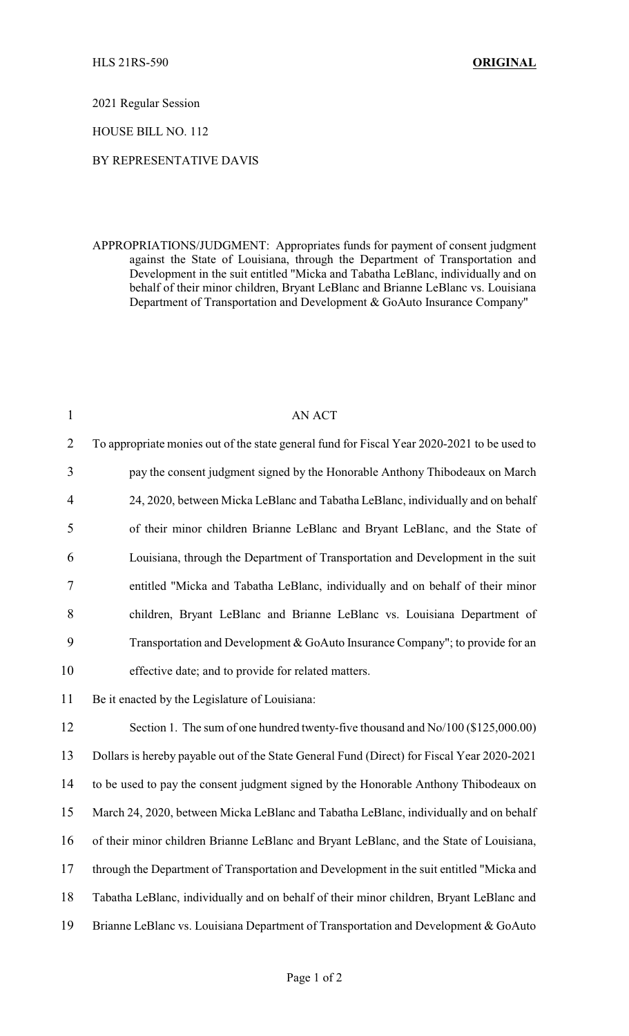2021 Regular Session

HOUSE BILL NO. 112

## BY REPRESENTATIVE DAVIS

APPROPRIATIONS/JUDGMENT: Appropriates funds for payment of consent judgment against the State of Louisiana, through the Department of Transportation and Development in the suit entitled "Micka and Tabatha LeBlanc, individually and on behalf of their minor children, Bryant LeBlanc and Brianne LeBlanc vs. Louisiana Department of Transportation and Development & GoAuto Insurance Company"

| $\mathbf{1}$             | <b>AN ACT</b>                                                                               |
|--------------------------|---------------------------------------------------------------------------------------------|
| $\overline{2}$           | To appropriate monies out of the state general fund for Fiscal Year 2020-2021 to be used to |
| 3                        | pay the consent judgment signed by the Honorable Anthony Thibodeaux on March                |
| $\overline{\mathcal{A}}$ | 24, 2020, between Micka LeBlanc and Tabatha LeBlanc, individually and on behalf             |
| 5                        | of their minor children Brianne LeBlanc and Bryant LeBlanc, and the State of                |
| 6                        | Louisiana, through the Department of Transportation and Development in the suit             |
| 7                        | entitled "Micka and Tabatha LeBlanc, individually and on behalf of their minor              |
| 8                        | children, Bryant LeBlanc and Brianne LeBlanc vs. Louisiana Department of                    |
| 9                        | Transportation and Development & GoAuto Insurance Company"; to provide for an               |
| 10                       | effective date; and to provide for related matters.                                         |
| 11                       | Be it enacted by the Legislature of Louisiana:                                              |
| 12                       | Section 1. The sum of one hundred twenty-five thousand and No/100 (\$125,000.00)            |
| 13                       | Dollars is hereby payable out of the State General Fund (Direct) for Fiscal Year 2020-2021  |
| 14                       | to be used to pay the consent judgment signed by the Honorable Anthony Thibodeaux on        |
| 15                       | March 24, 2020, between Micka LeBlanc and Tabatha LeBlanc, individually and on behalf       |
| 16                       | of their minor children Brianne LeBlanc and Bryant LeBlanc, and the State of Louisiana,     |
| 17                       | through the Department of Transportation and Development in the suit entitled "Micka and    |
| 18                       | Tabatha LeBlanc, individually and on behalf of their minor children, Bryant LeBlanc and     |
| 19                       | Brianne LeBlanc vs. Louisiana Department of Transportation and Development & GoAuto         |
|                          |                                                                                             |